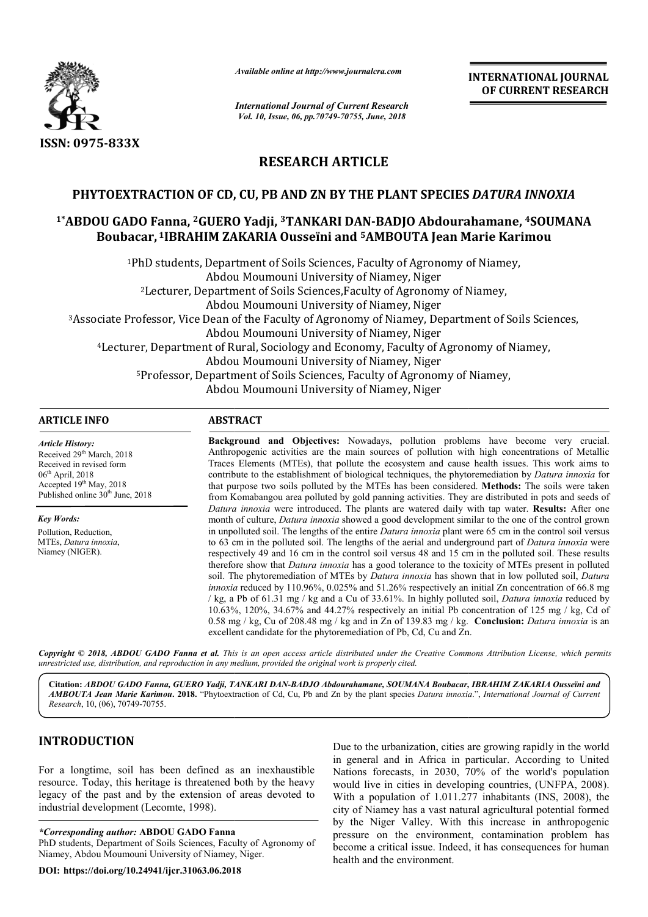

*Available online at http://www.journalcra.com*

*International Journal of Current Research Vol. 10, Issue, 06, pp.70749-70755, June, 2018*

**INTERNATIONAL JOURNAL OF CURRENT RESEARCH**

# **RESEARCH ARTICLE**

# **PHYTOEXTRACTION OF CD, CU, PB AND ZN BY THE PLANT SPECIES PHYTOEXTRACTION OF BY THE** *DATURA INNOXIA*

# <sup>1\*</sup>ABDOU GADO Fanna, <sup>2</sup>GUERO Yadji, <sup>3</sup>TANKARI DAN-BADJO Abdourahamane, <sup>4</sup>SOUMANA Boubacar, <sup>1</sup>IBRAHIM ZAKARIA Ousseïni and <sup>5</sup>AMBOUTA Jean Marie Karimou

<sup>1</sup>PhD students, Department of Soils Sciences, Faculty of Agronomy of Niamey,<br>Abdou Moumouni University of Niamey, Niger Abdou Moumouni University of Niamey, Niger 2Lecturer, Department of Soils Sciences,Faculty of Agronomy of Niamey, Lecturer, Moumouni University of Niamey, Niger Abdou Moumouni University of Niamey, Niger 3Associate Professor, Vice Dean of the Faculty of Agronomy of Niamey, Department of Soils Sciences, Associate Moumouni University of Niamey, Niger Abdou Moumouni University of Niamey, Niger 4Lecturer, Department of Rural, Sociology and Economy, Faculty of Agronomy of Niamey, Lecturer, Moumouni University of Niamey, Niger Abdou Moumouni University of Niamey, Niger 5Professor, Department of Soils Sciences, Faculty of Agronomy of Niamey, Professor, Moumouni University of Niamey, Niger Abdou Moumouni University of Niamey, Niger nD students, Department of Soils Sciences, Faculty of Agronomy of Niamey,<br>Abdou Moumouni University of Niamey, Niger<br><sup>2</sup>Lecturer, Department of Soils Sciences,Faculty of Agronomy of Niamey,<br>Abdou Moumouni University of Nia

#### **ARTICLE INFO ABSTRACT**

*Article History:* Received 29<sup>th</sup> March, 2018 Received in revised form  $06<sup>th</sup>$  April, 2018 Accepted 19<sup>th</sup> May, 2018 Published online 30<sup>th</sup> June, 2018

*Key Words:* Pollution, Reduction, MTEs, *Datura innoxia*, Niamey (NIGER).

**Background and Objectives:**  Nowadays, pollution problems have become very crucial. Anthropogenic activities are the main sources of pollution with high concentrations of Metallic Traces Elem Elements (MTEs), that pollute the ecosystem and cause health issues. This work aims to Anthropogenic activities are the main sources of pollution with high concentrations of Metallic Traces Elements (MTEs), that pollute the ecosystem and cause health issues. This work aims to contribute to the establishment that purpose two soils polluted by the MTEs has been considered. **Methods:** The soils were taken from Komabangou area polluted by gold panning activities. They are distributed in pots and seeds of from Komabangou area polluted by gold panning activities. They are distributed in pots and seeds of *Datura innoxia* were introduced. The plants are watered daily with tap water. **Results:** After one month of culture, *Datura innoxia* showed a good development similar to the one of the control grown month of culture, *Datura innoxia* showed a good development similar to the one of the control grown in unpolluted soil. The lengths of the entire *Datura innoxia* plant were 65 cm in the control soil versus to 63 cm in the polluted soil. The lengths of the aerial and underground part of *Datura innoxia* were respectively 49 and 16 cm in the control soil versus 48 and 15 cm in the polluted soil. These results therefore show that *Datura innoxia* has a good tolerance to the toxicity of MTEs present in polluted soil. The phytoremediation of MTEs by *Datura innoxia* has shown that in low polluted soil, *innoxia* reduced by 110.96%, 0.025% and 51.26% respectively an initial Zn concentration of 66.8 mg  $\ell$  kg, a Pb of 61.31 mg  $\ell$  kg and a Cu of 33.61%. In highly polluted soil, *Datura innoxia* reduced by 10.63%, 120%, 34.67% and 44.27% respectively an initial Pb concentration of 125 mg / kg, Cd of 10.63%, 120%, 34.67% and 44.27% respectively an initial Pb concentration of 125 mg / kg, Cd of 0.58 mg / kg, Cu of 208.48 mg / kg and in Zn of 139.83 mg / kg. **Conclusion:** *Datura innoxia* is an excellent candidate for the phytoremediation of Pb, Cd, Cu and Zn. respectively 49 and 16 cm in the control soil versus 48 and 15 cm in the polluted soil. These results therefore show that *Datura innoxia* has a good tolerance to the toxicity of MTEs present in polluted soil. The phytorem Example 10.1 **INTERNATIONAL JOURNAL SCINCE CONSUMPLE CONSUMPLE CONSUMPLE CONSUMPLE CONSUMPLE CONSUMPLE CONSUMPLE CONSUMPLE CONSUMPLE CONSUMPLE CONSUMPLE CONSUMPLE CONSUMPLE CONSUMPLE CONSUMPLE CONSUMPLE CONSUMPLE CONSUMPL** 

Copyright © 2018, ABDOU GADO Fanna et al. This is an open access article distributed under the Creative Commons Attribution License, which permits *unrestricted use, distribution, and reproduction in any medium, provided the original work is properly cited.*

Citation: *ABDOU GADO Fanna, GUERO Yadji, TANKARI DAN-BADJO Abdourahamane, SOUMANA Boubacar, IBRAHIM ZAKARIA Ousseïni and* AMBOUTA Jean Marie Karimou. 2018. "Phytoextraction of Cd, Cu, Pb and Zn by the plant species Datura innoxia.", International Journal of Current *Research*, 10, (06), 70749-70755.

# **INTRODUCTION**

For a longtime, soil has been defined as an inexhaustible resource. Today, this heritage is threatened both by the heavy legacy of the past and by the extension of areas devoted to industrial development (Lecomte, 1998).

## *\*Corresponding author:* **ABDOU GADO Fanna**

PhD students, Department of Soils Sciences, Faculty of Agronomy of Niamey, Abdou Moumouni University of Niamey, Niger Niger.

**DOI: https://doi.org/10.24941/ijcr.31063.06.2018**

Due to the urbanization, cities are growing rapidly in the world<br>
in general and in Africa in particular. According to United<br>
Nations forecasts, in 2030, 70% of the world's population<br>
tened both by the heavy<br>
would live in general and in Africa in particular. According to United Nations forecasts, in 2030, 70% of the world's population would live in cities in developing countries, (UNFPA, 2008). With a population of  $1.011.277$  inhabitants (INS, 2008), the city of Niamey has a vast natural agricultural potential formed by the Niger Valley. With this increase in anthropogenic pressure on the environment, contamination problem has become a critical issue. Indeed, it has consequences for human health and the environment. Due to the urbanization, cities are growing rapidly in the world<br>in general and in Africa in particular. According to United<br>Nations forecasts, in 2030, 70% of the world's population<br>would live in cities in developing coun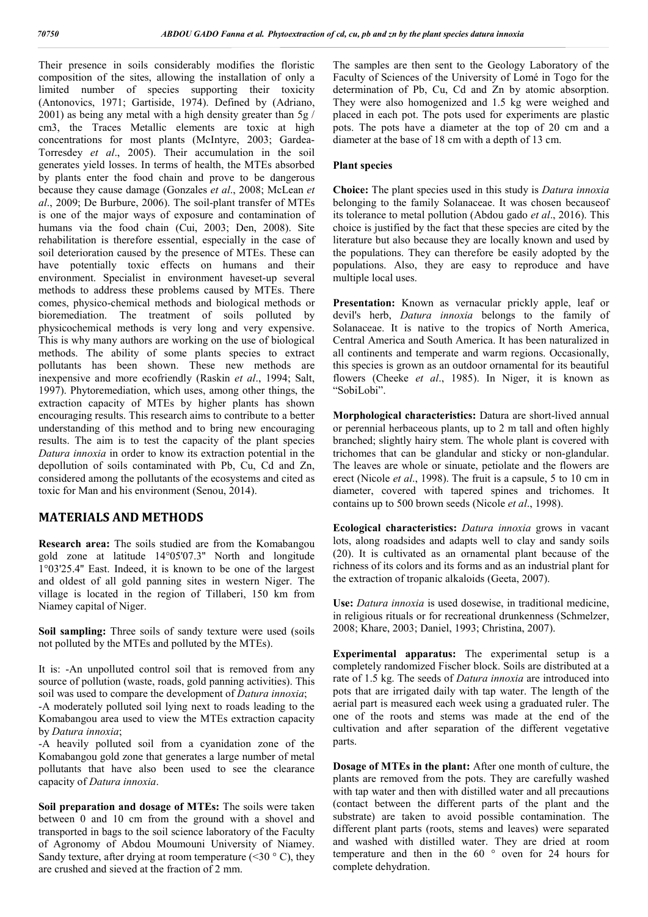Their presence in soils considerably modifies the floristic composition of the sites, allowing the installation of only a limited number of species supporting their toxicity (Antonovics, 1971; Gartiside, 1974). Defined by (Adriano, 2001) as being any metal with a high density greater than 5g / cm3, the Traces Metallic elements are toxic at high concentrations for most plants (McIntyre, 2003; Gardea-Torresdey *et al*., 2005). Their accumulation in the soil generates yield losses. In terms of health, the MTEs absorbed by plants enter the food chain and prove to be dangerous because they cause damage (Gonzales *et al*., 2008; McLean *et al*., 2009; De Burbure, 2006). The soil-plant transfer of MTEs is one of the major ways of exposure and contamination of humans via the food chain (Cui, 2003; Den, 2008). Site rehabilitation is therefore essential, especially in the case of soil deterioration caused by the presence of MTEs. These can have potentially toxic effects on humans and their environment. Specialist in environment haveset-up several methods to address these problems caused by MTEs. There comes, physico-chemical methods and biological methods or bioremediation. The treatment of soils polluted by physicochemical methods is very long and very expensive. This is why many authors are working on the use of biological methods. The ability of some plants species to extract pollutants has been shown. These new methods are inexpensive and more ecofriendly (Raskin *et al*., 1994; Salt, 1997). Phytoremediation, which uses, among other things, the extraction capacity of MTEs by higher plants has shown encouraging results. This research aims to contribute to a better understanding of this method and to bring new encouraging results. The aim is to test the capacity of the plant species *Datura innoxia* in order to know its extraction potential in the depollution of soils contaminated with Pb, Cu, Cd and Zn, considered among the pollutants of the ecosystems and cited as toxic for Man and his environment (Senou, 2014).

# **MATERIALS AND METHODS**

**Research area:** The soils studied are from the Komabangou gold zone at latitude 14°05'07.3'' North and longitude 1°03'25.4'' East. Indeed, it is known to be one of the largest and oldest of all gold panning sites in western Niger. The village is located in the region of Tillaberi, 150 km from Niamey capital of Niger.

Soil sampling: Three soils of sandy texture were used (soils not polluted by the MTEs and polluted by the MTEs).

It is: -An unpolluted control soil that is removed from any source of pollution (waste, roads, gold panning activities). This soil was used to compare the development of *Datura innoxia*;

-A moderately polluted soil lying next to roads leading to the Komabangou area used to view the MTEs extraction capacity by *Datura innoxia*;

-A heavily polluted soil from a cyanidation zone of the Komabangou gold zone that generates a large number of metal pollutants that have also been used to see the clearance capacity of *Datura innoxia*.

**Soil preparation and dosage of MTEs:** The soils were taken between 0 and 10 cm from the ground with a shovel and transported in bags to the soil science laboratory of the Faculty of Agronomy of Abdou Moumouni University of Niamey. Sandy texture, after drying at room temperature (<30  $\degree$  C), they are crushed and sieved at the fraction of 2 mm.

The samples are then sent to the Geology Laboratory of the Faculty of Sciences of the University of Lomé in Togo for the determination of Pb, Cu, Cd and Zn by atomic absorption. They were also homogenized and 1.5 kg were weighed and placed in each pot. The pots used for experiments are plastic pots. The pots have a diameter at the top of 20 cm and a diameter at the base of 18 cm with a depth of 13 cm.

## **Plant species**

**Choice:** The plant species used in this study is *Datura innoxia* belonging to the family Solanaceae. It was chosen becauseof its tolerance to metal pollution (Abdou gado *et al*., 2016). This choice is justified by the fact that these species are cited by the literature but also because they are locally known and used by the populations. They can therefore be easily adopted by the populations. Also, they are easy to reproduce and have multiple local uses.

**Presentation:** Known as vernacular prickly apple, leaf or devil's herb, *Datura innoxia* belongs to the family of Solanaceae. It is native to the tropics of North America, Central America and South America. It has been naturalized in all continents and temperate and warm regions. Occasionally, this species is grown as an outdoor ornamental for its beautiful flowers (Cheeke *et al*., 1985). In Niger, it is known as "SobiLobi".

**Morphological characteristics:** Datura are short-lived annual or perennial herbaceous plants, up to 2 m tall and often highly branched; slightly hairy stem. The whole plant is covered with trichomes that can be glandular and sticky or non-glandular. The leaves are whole or sinuate, petiolate and the flowers are erect (Nicole *et al*., 1998). The fruit is a capsule, 5 to 10 cm in diameter, covered with tapered spines and trichomes. It contains up to 500 brown seeds (Nicole *et al*., 1998).

**Ecological characteristics:** *Datura innoxia* grows in vacant lots, along roadsides and adapts well to clay and sandy soils (20). It is cultivated as an ornamental plant because of the richness of its colors and its forms and as an industrial plant for the extraction of tropanic alkaloids (Geeta, 2007).

**Use:** *Datura innoxia* is used dosewise, in traditional medicine, in religious rituals or for recreational drunkenness (Schmelzer, 2008; Khare, 2003; Daniel, 1993; Christina, 2007).

**Experimental apparatus:** The experimental setup is a completely randomized Fischer block. Soils are distributed at a rate of 1.5 kg. The seeds of *Datura innoxia* are introduced into pots that are irrigated daily with tap water. The length of the aerial part is measured each week using a graduated ruler. The one of the roots and stems was made at the end of the cultivation and after separation of the different vegetative parts.

**Dosage of MTEs in the plant:** After one month of culture, the plants are removed from the pots. They are carefully washed with tap water and then with distilled water and all precautions (contact between the different parts of the plant and the substrate) are taken to avoid possible contamination. The different plant parts (roots, stems and leaves) were separated and washed with distilled water. They are dried at room temperature and then in the 60 ° oven for 24 hours for complete dehydration.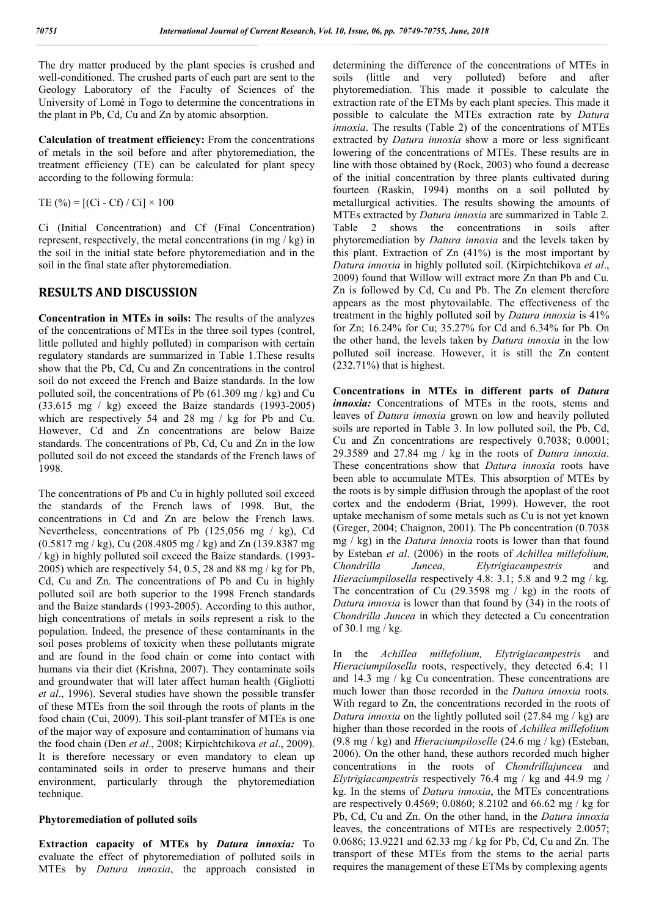The dry matter produced by the plant species is crushed and well-conditioned. The crushed parts of each part are sent to the Geology Laboratory of the Faculty of Sciences of the University of Lomé in Togo to determine the concentrations in the plant in Pb, Cd, Cu and Zn by atomic absorption.

**Calculation of treatment efficiency:** From the concentrations of metals in the soil before and after phytoremediation, the treatment efficiency (TE) can be calculated for plant specy according to the following formula:

TE  $(\%)=$  [(Ci - Cf) / Ci]  $\times$  100

Ci (Initial Concentration) and Cf (Final Concentration) represent, respectively, the metal concentrations (in mg / kg) in the soil in the initial state before phytoremediation and in the soil in the final state after phytoremediation.

### **RESULTS AND DISCUSSION**

**Concentration in MTEs in soils:** The results of the analyzes of the concentrations of MTEs in the three soil types (control, little polluted and highly polluted) in comparison with certain regulatory standards are summarized in Table 1.These results show that the Pb, Cd, Cu and Zn concentrations in the control soil do not exceed the French and Baize standards. In the low polluted soil, the concentrations of Pb (61.309 mg / kg) and Cu (33.615 mg / kg) exceed the Baize standards (1993-2005) which are respectively 54 and 28 mg / kg for Pb and Cu. However, Cd and Zn concentrations are below Baize standards. The concentrations of Pb, Cd, Cu and Zn in the low polluted soil do not exceed the standards of the French laws of 1998.

The concentrations of Pb and Cu in highly polluted soil exceed the standards of the French laws of 1998. But, the concentrations in Cd and Zn are below the French laws. Nevertheless, concentrations of Pb (125,056 mg / kg), Cd (0.5817 mg / kg), Cu (208.4805 mg / kg) and Zn (139.8387 mg / kg) in highly polluted soil exceed the Baize standards. (1993- 2005) which are respectively 54, 0.5, 28 and 88 mg / kg for Pb, Cd, Cu and Zn. The concentrations of Pb and Cu in highly polluted soil are both superior to the 1998 French standards and the Baize standards (1993-2005). According to this author, high concentrations of metals in soils represent a risk to the population. Indeed, the presence of these contaminants in the soil poses problems of toxicity when these pollutants migrate and are found in the food chain or come into contact with humans via their diet (Krishna, 2007). They contaminate soils and groundwater that will later affect human health (Gigliotti *et al*., 1996). Several studies have shown the possible transfer of these MTEs from the soil through the roots of plants in the food chain (Cui, 2009). This soil-plant transfer of MTEs is one of the major way of exposure and contamination of humans via the food chain (Den *et al*., 2008; Kirpichtchikova *et al*., 2009). It is therefore necessary or even mandatory to clean up contaminated soils in order to preserve humans and their environment, particularly through the phytoremediation technique.

#### **Phytoremediation of polluted soils**

**Extraction capacity of MTEs by** *Datura innoxia:* To evaluate the effect of phytoremediation of polluted soils in MTEs by *Datura innoxia*, the approach consisted in determining the difference of the concentrations of MTEs in soils (little and very polluted) before and after phytoremediation. This made it possible to calculate the extraction rate of the ETMs by each plant species. This made it possible to calculate the MTEs extraction rate by *Datura innoxia*. The results (Table 2) of the concentrations of MTEs extracted by *Datura innoxia* show a more or less significant lowering of the concentrations of MTEs. These results are in line with those obtained by (Rock, 2003) who found a decrease of the initial concentration by three plants cultivated during fourteen (Raskin, 1994) months on a soil polluted by metallurgical activities. The results showing the amounts of MTEs extracted by *Datura innoxia* are summarized in Table 2. Table 2 shows the concentrations in soils after phytoremediation by *Datura innoxia* and the levels taken by this plant. Extraction of Zn (41%) is the most important by *Datura innoxia* in highly polluted soil. (Kirpichtchikova *et al*., 2009) found that Willow will extract more Zn than Pb and Cu. Zn is followed by Cd, Cu and Pb. The Zn element therefore appears as the most phytovailable. The effectiveness of the treatment in the highly polluted soil by *Datura innoxia* is 41% for Zn; 16.24% for Cu; 35.27% for Cd and 6.34% for Pb. On the other hand, the levels taken by *Datura innoxia* in the low polluted soil increase. However, it is still the Zn content (232.71%) that is highest.

**Concentrations in MTEs in different parts of** *Datura innoxia:* Concentrations of MTEs in the roots, stems and leaves of *Datura innoxia* grown on low and heavily polluted soils are reported in Table 3. In low polluted soil, the Pb, Cd, Cu and Zn concentrations are respectively 0.7038; 0.0001; 29.3589 and 27.84 mg / kg in the roots of *Datura innoxia*. These concentrations show that *Datura innoxia* roots have been able to accumulate MTEs. This absorption of MTEs by the roots is by simple diffusion through the apoplast of the root cortex and the endoderm (Briat, 1999). However, the root uptake mechanism of some metals such as Cu is not yet known (Greger, 2004; Chaignon, 2001). The Pb concentration (0.7038 mg / kg) in the *Datura innoxia* roots is lower than that found by Esteban *et al*. (2006) in the roots of *Achillea millefolium, Chondrilla Juncea, Elytrigiacampestris* and *Hieraciumpilosella* respectively 4.8: 3.1; 5.8 and 9.2 mg / kg. The concentration of Cu (29.3598 mg / kg) in the roots of *Datura innoxia* is lower than that found by (34) in the roots of *Chondrilla Juncea* in which they detected a Cu concentration of 30.1 mg / kg.

In the *Achillea millefolium, Elytrigiacampestris* and *Hieraciumpilosella* roots, respectively, they detected 6.4; 11 and 14.3 mg / kg Cu concentration. These concentrations are much lower than those recorded in the *Datura innoxia* roots. With regard to Zn, the concentrations recorded in the roots of *Datura innoxia* on the lightly polluted soil (27.84 mg / kg) are higher than those recorded in the roots of *Achillea millefolium* (9.8 mg / kg) and *Hieraciumpiloselle* (24.6 mg / kg) (Esteban, 2006). On the other hand, these authors recorded much higher concentrations in the roots of *Chondrillajuncea* and *Elytrigiacampestris* respectively 76.4 mg / kg and 44.9 mg / kg. In the stems of *Datura innoxia*, the MTEs concentrations are respectively 0.4569; 0.0860; 8.2102 and 66.62 mg / kg for Pb, Cd, Cu and Zn. On the other hand, in the *Datura innoxia* leaves, the concentrations of MTEs are respectively 2.0057; 0.0686; 13.9221 and 62.33 mg / kg for Pb, Cd, Cu and Zn. The transport of these MTEs from the stems to the aerial parts requires the management of these ETMs by complexing agents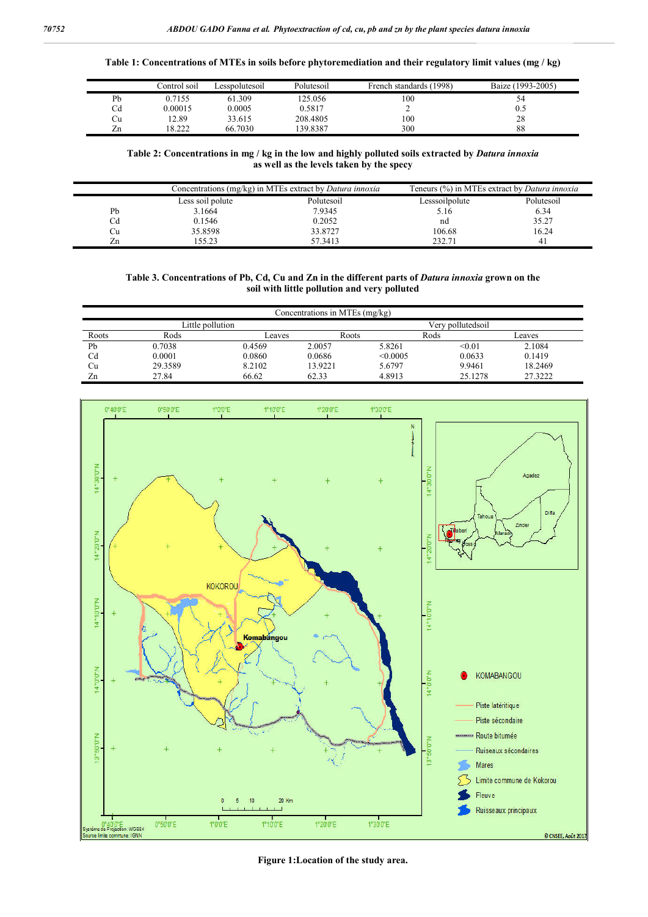**Table 1: Concentrations of MTEs in soils before phytoremediation and their regulatory limit values (mg / kg)**

|                                | Control soil | Lesspolutesoil | Polutesoil | French standards (1998) | Baize (1993-2005) |
|--------------------------------|--------------|----------------|------------|-------------------------|-------------------|
| Pb                             | 0.7155       | 61.309         | 125.056    | 100                     | 54                |
| Cd                             | 0.00015      | 0.0005         | 0.5817     | ∸                       | 0.5               |
| Cu                             | 12.89        | 33.615         | 208,4805   | 100                     | 28                |
| $\overline{\phantom{a}}$<br>Zn | 18.222       | 66.7030        | 139.8387   | 300                     | 88                |

**Table 2: Concentrations in mg / kg in the low and highly polluted soils extracted by** *Datura innoxia* **as well as the levels taken by the specy**

|    |                  | Concentrations (mg/kg) in MTEs extract by <i>Datura innoxia</i> | Teneurs (%) in MTEs extract by <i>Datura innoxia</i> |            |  |
|----|------------------|-----------------------------------------------------------------|------------------------------------------------------|------------|--|
|    | Less soil polute | Polutesoil                                                      | Lesssoilpolute                                       | Polutesoil |  |
| Pb | 3.1664           | 7.9345                                                          | 5.16                                                 | 6.34       |  |
|    | 0.1546           | 0.2052                                                          | nd                                                   | 35.27      |  |
| Ċu | 35.8598          | 33.8727                                                         | 106.68                                               | 16.24      |  |
| zn | 55.23            | 57.3413                                                         | 232.71                                               | 41         |  |

**Table 3. Concentrations of Pb, Cd, Cu and Zn in the different parts of** *Datura innoxia* **grown on the soil with little pollution and very polluted**

| Concentrations in MTEs (mg/kg) |         |        |         |                   |         |         |  |  |  |  |
|--------------------------------|---------|--------|---------|-------------------|---------|---------|--|--|--|--|
| Little pollution               |         |        |         | Verv pollutedsoil |         |         |  |  |  |  |
| Roots                          | Rods    | Leaves | Roots   | Rods              |         | Leaves  |  |  |  |  |
| Pb                             | 0.7038  | 0.4569 | 2.0057  | 5.8261            | < 0.01  | 2.1084  |  |  |  |  |
| Cd                             | 0.0001  | 0.0860 | 0.0686  | < 0.0005          | 0.0633  | 0.1419  |  |  |  |  |
| Сu                             | 29.3589 | 8.2102 | 13.9221 | 5.6797            | 9.9461  | 18.2469 |  |  |  |  |
| Zn                             | 27.84   | 66.62  | 62.33   | 4.8913            | 25.1278 | 27.3222 |  |  |  |  |



**Figure 1:Location of the study area.**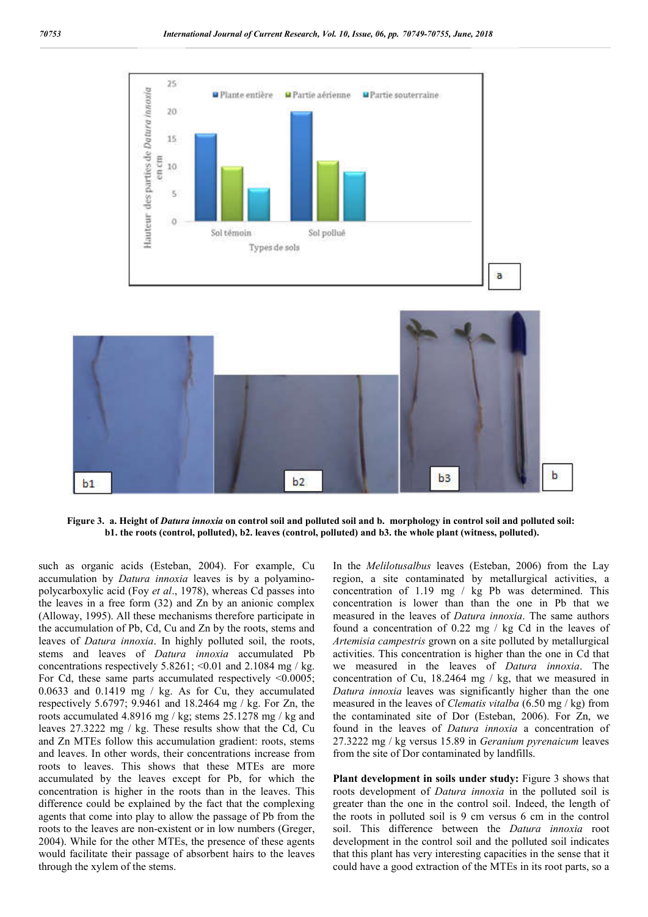

**Figure 3. a. Height of** *Datura innoxia* **on control soil and polluted soil and b. morphology in control soil and polluted soil: b1. the roots (control, polluted), b2. leaves (control, polluted) and b3. the whole plant (witness, polluted).**

such as organic acids (Esteban, 2004). For example, Cu accumulation by *Datura innoxia* leaves is by a polyaminopolycarboxylic acid (Foy *et al*., 1978), whereas Cd passes into the leaves in a free form (32) and Zn by an anionic complex (Alloway, 1995). All these mechanisms therefore participate in the accumulation of Pb, Cd, Cu and Zn by the roots, stems and leaves of *Datura innoxia*. In highly polluted soil, the roots, stems and leaves of *Datura innoxia* accumulated Pb concentrations respectively  $5.8261$ ; <0.01 and  $2.1084$  mg / kg. For Cd, these same parts accumulated respectively  $\leq 0.0005$ ; 0.0633 and 0.1419 mg / kg. As for Cu, they accumulated respectively 5.6797; 9.9461 and 18.2464 mg / kg. For Zn, the roots accumulated 4.8916 mg / kg; stems 25.1278 mg / kg and leaves 27.3222 mg / kg. These results show that the Cd, Cu and Zn MTEs follow this accumulation gradient: roots, stems and leaves. In other words, their concentrations increase from roots to leaves. This shows that these MTEs are more accumulated by the leaves except for Pb, for which the concentration is higher in the roots than in the leaves. This difference could be explained by the fact that the complexing agents that come into play to allow the passage of Pb from the roots to the leaves are non-existent or in low numbers (Greger, 2004). While for the other MTEs, the presence of these agents would facilitate their passage of absorbent hairs to the leaves through the xylem of the stems.

In the *Melilotusalbus* leaves (Esteban, 2006) from the Lay region, a site contaminated by metallurgical activities, a concentration of 1.19 mg / kg Pb was determined. This concentration is lower than than the one in Pb that we measured in the leaves of *Datura innoxia*. The same authors found a concentration of 0.22 mg / kg Cd in the leaves of *Artemisia campestris* grown on a site polluted by metallurgical activities. This concentration is higher than the one in Cd that we measured in the leaves of *Datura innoxia*. The concentration of Cu, 18.2464 mg / kg, that we measured in *Datura innoxia* leaves was significantly higher than the one measured in the leaves of *Clematis vitalba* (6.50 mg / kg) from the contaminated site of Dor (Esteban, 2006). For Zn, we found in the leaves of *Datura innoxia* a concentration of 27.3222 mg / kg versus 15.89 in *Geranium pyrenaicum* leaves from the site of Dor contaminated by landfills.

**Plant development in soils under study:** Figure 3 shows that roots development of *Datura innoxia* in the polluted soil is greater than the one in the control soil. Indeed, the length of the roots in polluted soil is 9 cm versus 6 cm in the control soil. This difference between the *Datura innoxia* root development in the control soil and the polluted soil indicates that this plant has very interesting capacities in the sense that it could have a good extraction of the MTEs in its root parts, so a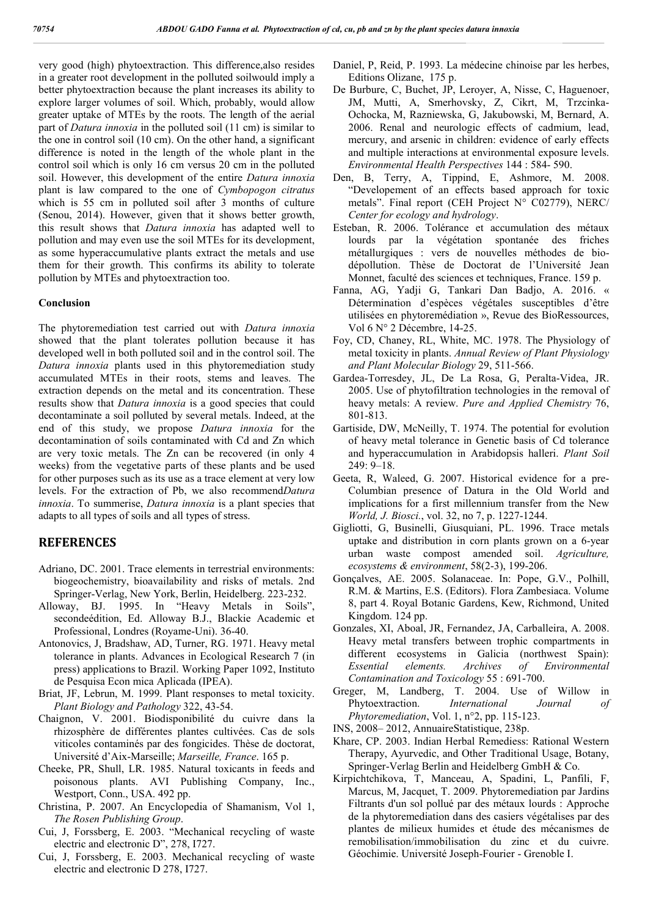very good (high) phytoextraction. This difference,also resides in a greater root development in the polluted soilwould imply a better phytoextraction because the plant increases its ability to explore larger volumes of soil. Which, probably, would allow greater uptake of MTEs by the roots. The length of the aerial part of *Datura innoxia* in the polluted soil (11 cm) is similar to the one in control soil (10 cm). On the other hand, a significant difference is noted in the length of the whole plant in the control soil which is only 16 cm versus 20 cm in the polluted soil. However, this development of the entire *Datura innoxia* plant is law compared to the one of *Cymbopogon citratus* which is 55 cm in polluted soil after 3 months of culture (Senou, 2014). However, given that it shows better growth, this result shows that *Datura innoxia* has adapted well to pollution and may even use the soil MTEs for its development, as some hyperaccumulative plants extract the metals and use them for their growth. This confirms its ability to tolerate pollution by MTEs and phytoextraction too.

## **Conclusion**

The phytoremediation test carried out with *Datura innoxia* showed that the plant tolerates pollution because it has developed well in both polluted soil and in the control soil. The *Datura innoxia* plants used in this phytoremediation study accumulated MTEs in their roots, stems and leaves. The extraction depends on the metal and its concentration. These results show that *Datura innoxia* is a good species that could decontaminate a soil polluted by several metals. Indeed, at the end of this study, we propose *Datura innoxia* for the decontamination of soils contaminated with Cd and Zn which are very toxic metals. The Zn can be recovered (in only 4 weeks) from the vegetative parts of these plants and be used for other purposes such as its use as a trace element at very low levels. For the extraction of Pb, we also recommend*Datura innoxia*. To summerise, *Datura innoxia* is a plant species that adapts to all types of soils and all types of stress.

## **REFERENCES**

- Adriano, DC. 2001. Trace elements in terrestrial environments: biogeochemistry, bioavailability and risks of metals. 2nd Springer-Verlag, New York, Berlin, Heidelberg. 223-232.
- Alloway, BJ. 1995. In "Heavy Metals in Soils", secondeédition, Ed. Alloway B.J., Blackie Academic et Professional, Londres (Royame-Uni). 36-40.
- Antonovics, J, Bradshaw, AD, Turner, RG. 1971. Heavy metal tolerance in plants. Advances in Ecological Research 7 (in press) applications to Brazil. Working Paper 1092, Instituto de Pesquisa Econ mica Aplicada (IPEA).
- Briat, JF, Lebrun, M. 1999. Plant responses to metal toxicity. *Plant Biology and Pathology* 322, 43-54.
- Chaignon, V. 2001. Biodisponibilité du cuivre dans la rhizosphère de différentes plantes cultivées. Cas de sols viticoles contaminés par des fongicides. Thèse de doctorat, Université d'Aix-Marseille; *Marseille, France*. 165 p.
- Cheeke, PR, Shull, LR. 1985. Natural toxicants in feeds and poisonous plants. AVI Publishing Company, Inc., Westport, Conn., USA. 492 pp.
- Christina, P. 2007. An Encyclopedia of Shamanism, Vol 1, *The Rosen Publishing Group*.
- Cui, J, Forssberg, E. 2003. "Mechanical recycling of waste electric and electronic D", 278, I727.
- Cui, J, Forssberg, E. 2003. Mechanical recycling of waste electric and electronic D 278, I727.
- Daniel, P, Reid, P. 1993. La médecine chinoise par les herbes, Editions Olizane, 175 p.
- De Burbure, C, Buchet, JP, Leroyer, A, Nisse, C, Haguenoer, JM, Mutti, A, Smerhovsky, Z, Cikrt, M, Trzcinka-Ochocka, M, Razniewska, G, Jakubowski, M, Bernard, A. 2006. Renal and neurologic effects of cadmium, lead, mercury, and arsenic in children: evidence of early effects and multiple interactions at environmental exposure levels. *Environmental Health Perspectives* 144 : 584- 590.
- Den, B, Terry, A, Tippind, E, Ashmore, M. 2008. "Developement of an effects based approach for toxic metals". Final report (CEH Project N° C02779), NERC/ *Center for ecology and hydrology*.
- Esteban, R. 2006. Tolérance et accumulation des métaux lourds par la végétation spontanée des friches métallurgiques : vers de nouvelles méthodes de biodépollution. Thèse de Doctorat de l'Université Jean Monnet, faculté des sciences et techniques, France. 159 p.
- Fanna, AG, Yadji G, Tankari Dan Badjo, A. 2016. « Détermination d'espèces végétales susceptibles d'être utilisées en phytoremédiation », Revue des BioRessources, Vol 6 N° 2 Décembre, 14-25.
- Foy, CD, Chaney, RL, White, MC. 1978. The Physiology of metal toxicity in plants. *Annual Review of Plant Physiology and Plant Molecular Biology* 29, 511-566.
- Gardea-Torresdey, JL, De La Rosa, G, Peralta-Videa, JR. 2005. Use of phytofiltration technologies in the removal of heavy metals: A review. *Pure and Applied Chemistry* 76, 801-813.
- Gartiside, DW, McNeilly, T. 1974. The potential for evolution of heavy metal tolerance in Genetic basis of Cd tolerance and hyperaccumulation in Arabidopsis halleri. *Plant Soil* 249: 9–18.
- Geeta, R, Waleed, G. 2007. Historical evidence for a pre-Columbian presence of Datura in the Old World and implications for a first millennium transfer from the New *World, J. Biosci.*, vol. 32, no 7, p. 1227-1244.
- Gigliotti, G, Businelli, Giusquiani, PL. 1996. Trace metals uptake and distribution in corn plants grown on a 6-year urban waste compost amended soil. *Agriculture, ecosystems & environment*, 58(2-3), 199-206.
- Gonçalves, AE. 2005. Solanaceae. In: Pope, G.V., Polhill, R.M. & Martins, E.S. (Editors). Flora Zambesiaca. Volume 8, part 4. Royal Botanic Gardens, Kew, Richmond, United Kingdom. 124 pp.
- Gonzales, XI, Aboal, JR, Fernandez, JA, Carballeira, A. 2008. Heavy metal transfers between trophic compartments in different ecosystems in Galicia (northwest Spain): *Essential elements. Archives of Environmental Contamination and Toxicology* 55 : 691-700.
- Greger, M, Landberg, T. 2004. Use of Willow in Phytoextraction. *International Journal of Phytoremediation*, Vol. 1, n°2, pp. 115-123.
- INS, 2008– 2012, AnnuaireStatistique, 238p.
- Khare, CP. 2003. Indian Herbal Remediess: Rational Western Therapy, Ayurvedic, and Other Traditional Usage, Botany, Springer-Verlag Berlin and Heidelberg GmbH & Co.
- Kirpichtchikova, T, Manceau, A, Spadini, L, Panfili, F, Marcus, M, Jacquet, T. 2009. Phytoremediation par Jardins Filtrants d'un sol pollué par des métaux lourds : Approche de la phytoremediation dans des casiers végétalises par des plantes de milieux humides et étude des mécanismes de remobilisation/immobilisation du zinc et du cuivre. Géochimie. Université Joseph-Fourier - Grenoble I.